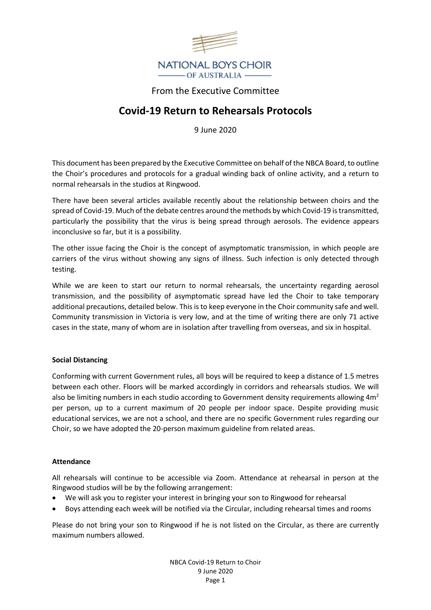

## From the Executive Committee

# **Covid-19 Return to Rehearsals Protocols**

9 June 2020

This document has been prepared by the Executive Committee on behalf of the NBCA Board, to outline the Choir's procedures and protocols for a gradual winding back of online activity, and a return to normal rehearsals in the studios at Ringwood.

There have been several articles available recently about the relationship between choirs and the spread of Covid-19. Much of the debate centres around the methods by which Covid-19 is transmitted, particularly the possibility that the virus is being spread through aerosols. The evidence appears inconclusive so far, but it is a possibility.

The other issue facing the Choir is the concept of asymptomatic transmission, in which people are carriers of the virus without showing any signs of illness. Such infection is only detected through testing.

While we are keen to start our return to normal rehearsals, the uncertainty regarding aerosol transmission, and the possibility of asymptomatic spread have led the Choir to take temporary additional precautions, detailed below. This is to keep everyone in the Choir community safe and well. Community transmission in Victoria is very low, and at the time of writing there are only 71 active cases in the state, many of whom are in isolation after travelling from overseas, and six in hospital.

### **Social Distancing**

Conforming with current Government rules, all boys will be required to keep a distance of 1.5 metres between each other. Floors will be marked accordingly in corridors and rehearsals studios. We will also be limiting numbers in each studio according to Government density requirements allowing  $4m<sup>2</sup>$ per person, up to a current maximum of 20 people per indoor space. Despite providing music educational services, we are not a school, and there are no specific Government rules regarding our Choir, so we have adopted the 20-person maximum guideline from related areas.

#### **Attendance**

All rehearsals will continue to be accessible via Zoom. Attendance at rehearsal in person at the Ringwood studios will be by the following arrangement:

- We will ask you to register your interest in bringing your son to Ringwood for rehearsal
- Boys attending each week will be notified via the Circular, including rehearsal times and rooms

Please do not bring your son to Ringwood if he is not listed on the Circular, as there are currently maximum numbers allowed.

> NBCA Covid-19 Return to Choir 9 June 2020 Page 1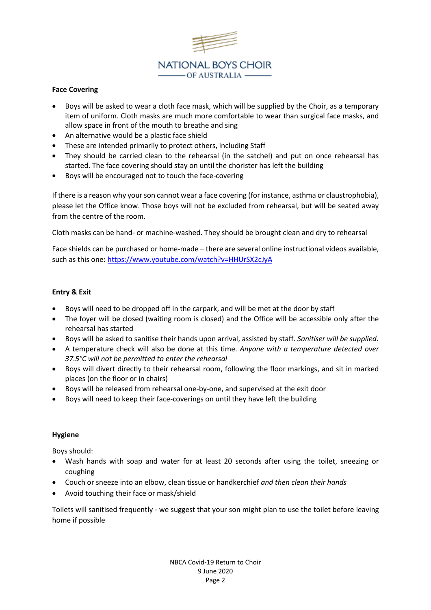

#### **Face Covering**

- Boys will be asked to wear a cloth face mask, which will be supplied by the Choir, as a temporary item of uniform. Cloth masks are much more comfortable to wear than surgical face masks, and allow space in front of the mouth to breathe and sing
- An alternative would be a plastic face shield
- These are intended primarily to protect others, including Staff
- They should be carried clean to the rehearsal (in the satchel) and put on once rehearsal has started. The face covering should stay on until the chorister has left the building
- Boys will be encouraged not to touch the face-covering

If there is a reason why your son cannot wear a face covering (for instance, asthma or claustrophobia), please let the Office know. Those boys will not be excluded from rehearsal, but will be seated away from the centre of the room.

Cloth masks can be hand- or machine-washed. They should be brought clean and dry to rehearsal

Face shields can be purchased or home-made – there are several online instructional videos available, such as this one:<https://www.youtube.com/watch?v=HHUrSX2cJyA>

#### **Entry & Exit**

- Boys will need to be dropped off in the carpark, and will be met at the door by staff
- The foyer will be closed (waiting room is closed) and the Office will be accessible only after the rehearsal has started
- Boys will be asked to sanitise their hands upon arrival, assisted by staff. *Sanitiser will be supplied*.
- A temperature check will also be done at this time. *Anyone with a temperature detected over 37.5°C will not be permitted to enter the rehearsal*
- Boys will divert directly to their rehearsal room, following the floor markings, and sit in marked places (on the floor or in chairs)
- Boys will be released from rehearsal one-by-one, and supervised at the exit door
- Boys will need to keep their face-coverings on until they have left the building

#### **Hygiene**

Boys should:

- Wash hands with soap and water for at least 20 seconds after using the toilet, sneezing or coughing
- Couch or sneeze into an elbow, clean tissue or handkerchief *and then clean their hands*
- Avoid touching their face or mask/shield

Toilets will sanitised frequently - we suggest that your son might plan to use the toilet before leaving home if possible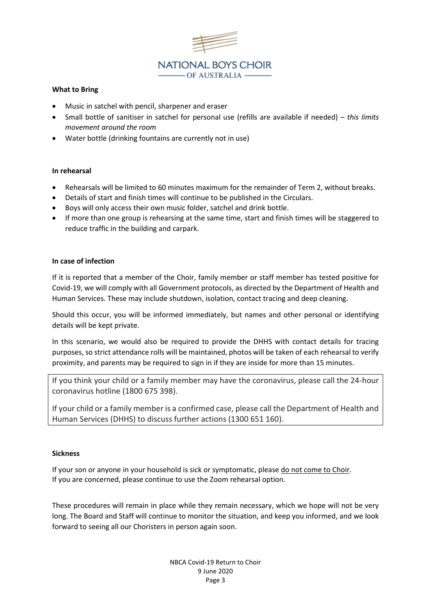

#### **What to Bring**

- Music in satchel with pencil, sharpener and eraser
- Small bottle of sanitiser in satchel for personal use (refills are available if needed) *this limits movement around the room*
- Water bottle (drinking fountains are currently not in use)

#### **In rehearsal**

- Rehearsals will be limited to 60 minutes maximum for the remainder of Term 2, without breaks.
- Details of start and finish times will continue to be published in the Circulars.
- Boys will only access their own music folder, satchel and drink bottle.
- If more than one group is rehearsing at the same time, start and finish times will be staggered to reduce traffic in the building and carpark.

#### **In case of infection**

If it is reported that a member of the Choir, family member or staff member has tested positive for Covid-19, we will comply with all Government protocols, as directed by the Department of Health and Human Services. These may include shutdown, isolation, contact tracing and deep cleaning.

Should this occur, you will be informed immediately, but names and other personal or identifying details will be kept private.

In this scenario, we would also be required to provide the DHHS with contact details for tracing purposes, so strict attendance rolls will be maintained, photos will be taken of each rehearsal to verify proximity, and parents may be required to sign in if they are inside for more than 15 minutes.

If you think your child or a family member may have the coronavirus, please call the 24-hour coronavirus hotline (1800 675 398).

If your child or a family member is a confirmed case, please call the Department of Health and Human Services (DHHS) to discuss further actions (1300 651 160).

#### **Sickness**

If your son or anyone in your household is sick or symptomatic, please do not come to Choir. If you are concerned, please continue to use the Zoom rehearsal option.

These procedures will remain in place while they remain necessary, which we hope will not be very long. The Board and Staff will continue to monitor the situation, and keep you informed, and we look forward to seeing all our Choristers in person again soon.

> NBCA Covid-19 Return to Choir 9 June 2020 Page 3